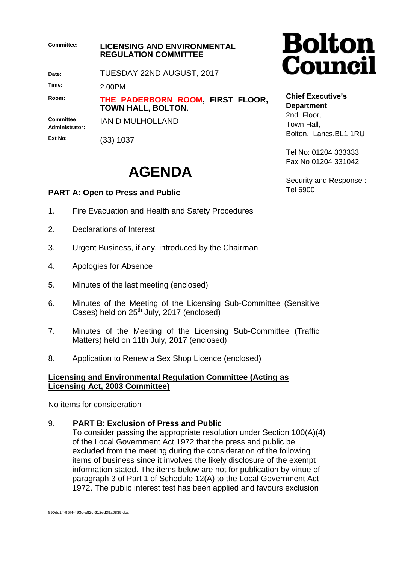| <b>Committee:</b>           | <b>LICENSING AND ENVIRONMENTAL</b><br><b>REGULATION COMMITTEE</b> |
|-----------------------------|-------------------------------------------------------------------|
| Date:                       | TUESDAY 22ND AUGUST, 2017                                         |
| Time:                       | 2.00PM                                                            |
| Room:                       | THE PADERBORN ROOM, FIRST FLOOR,<br>TOWN HALL, BOLTON.            |
| Committee<br>Administrator: | IAN D MULHOLLAND                                                  |

**Ext No:**

(33) 1037

## **AGENDA**

## **PART A: Open to Press and Public**

- 1. Fire Evacuation and Health and Safety Procedures
- 2. Declarations of Interest
- 3. Urgent Business, if any, introduced by the Chairman
- 4. Apologies for Absence
- 5. Minutes of the last meeting (enclosed)
- 6. Minutes of the Meeting of the Licensing Sub-Committee (Sensitive Cases) held on  $25^{th}$  July, 2017 (enclosed)
- 7. Minutes of the Meeting of the Licensing Sub-Committee (Traffic Matters) held on 11th July, 2017 (enclosed)
- 8. Application to Renew a Sex Shop Licence (enclosed)

## **Licensing and Environmental Regulation Committee (Acting as Licensing Act, 2003 Committee)**

No items for consideration

9. **PART B**: **Exclusion of Press and Public**

To consider passing the appropriate resolution under Section 100(A)(4) of the Local Government Act 1972 that the press and public be excluded from the meeting during the consideration of the following items of business since it involves the likely disclosure of the exempt information stated. The items below are not for publication by virtue of paragraph 3 of Part 1 of Schedule 12(A) to the Local Government Act 1972. The public interest test has been applied and favours exclusion

## **Chief Executive's Department** 2nd Floor, Town Hall, Bolton. Lancs.BL1 1RU

Tel No: 01204 333333 Fax No 01204 331042

Security and Response : Tel 6900